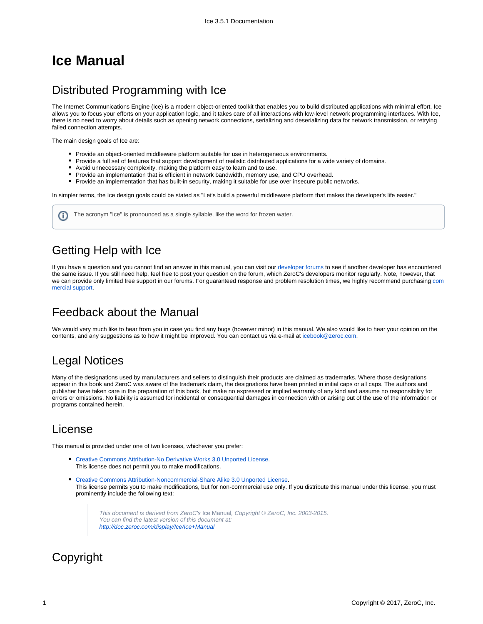# **Ice Manual**

### Distributed Programming with Ice

The Internet Communications Engine (Ice) is a modern object-oriented toolkit that enables you to build distributed applications with minimal effort. Ice allows you to focus your efforts on your application logic, and it takes care of all interactions with low-level network programming interfaces. With Ice, there is no need to worry about details such as opening network connections, serializing and deserializing data for network transmission, or retrying failed connection attempts.

The main design goals of Ice are:

- Provide an object-oriented middleware platform suitable for use in heterogeneous environments.
- Provide a full set of features that support development of realistic distributed applications for a wide variety of domains.
- Avoid unnecessary complexity, making the platform easy to learn and to use.
- Provide an implementation that is efficient in network bandwidth, memory use, and CPU overhead.
- Provide an implementation that has built-in security, making it suitable for use over insecure public networks.

In simpler terms, the Ice design goals could be stated as "Let's build a powerful middleware platform that makes the developer's life easier."

The acronym "Ice" is pronounced as a single syllable, like the word for frozen water.G)

## Getting Help with Ice

If you have a question and you cannot find an answer in this manual, you can visit our [developer forums](http://www.zeroc.com/forums) to see if another developer has encountered the same issue. If you still need help, feel free to post your question on the forum, which ZeroC's developers monitor regularly. Note, however, that we can provide only limited free support in our forums. For guaranteed response and problem resolution times, we highly re[com](http://www.zeroc.com/support.html)mend purchasing com [mercial support](http://www.zeroc.com/support.html).

#### Feedback about the Manual

We would very much like to hear from you in case you find any bugs (however minor) in this manual. We also would like to hear your opinion on the contents, and any suggestions as to how it might be improved. You can contact us via e-mail at [icebook@zeroc.com.](mailto:icebook@zeroc.com)

### Legal Notices

Many of the designations used by manufacturers and sellers to distinguish their products are claimed as trademarks. Where those designations appear in this book and ZeroC was aware of the trademark claim, the designations have been printed in initial caps or all caps. The authors and publisher have taken care in the preparation of this book, but make no expressed or implied warranty of any kind and assume no responsibility for errors or omissions. No liability is assumed for incidental or consequential damages in connection with or arising out of the use of the information or programs contained herein.

### License

This manual is provided under one of two licenses, whichever you prefer:

- [Creative Commons Attribution-No Derivative Works 3.0 Unported License](http://creativecommons.org/licenses/by-nd/3.0/). This license does not permit you to make modifications.
- [Creative Commons Attribution-Noncommercial-Share Alike 3.0 Unported License.](http://creativecommons.org/licenses/by-nc-sa/3.0/) This license permits you to make modifications, but for non-commercial use only. If you distribute this manual under this license, you must prominently include the following text:

This document is derived from ZeroC's Ice Manual, Copyright © ZeroC, Inc. 2003-2015. You can find the latest version of this document at: <http://doc.zeroc.com/display/Ice/Ice+Manual>

### Copyright